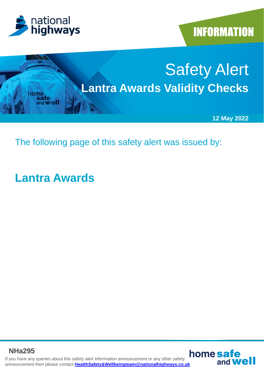





The following page of this safety alert was issued by:

## **Lantra Awards**

If you have any queries about this safety alert information announcement or any other safety announcement then please contact **[HealthSafety&Wellbeingteam@nationalhighways.co.uk](mailto:HealthSafety&Wellbeingteam@highwaysengland.co.uk) NHa295**